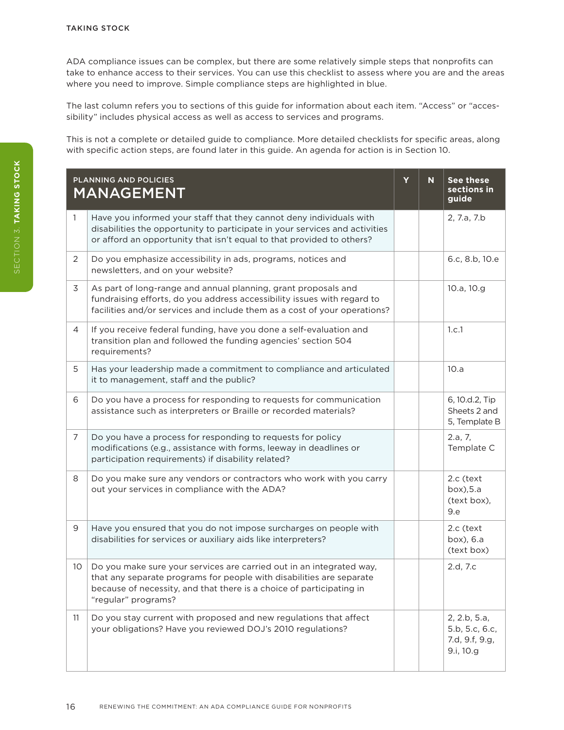ADA compliance issues can be complex, but there are some relatively simple steps that nonprofits can take to enhance access to their services. You can use this checklist to assess where you are and the areas where you need to improve. Simple compliance steps are highlighted in blue.

The last column refers you to sections of this guide for information about each item. "Access" or "accessibility" includes physical access as well as access to services and programs.

This is not a complete or detailed guide to compliance. More detailed checklists for specific areas, along with specific action steps, are found later in this guide. An agenda for action is in Section 10.

|                | <b>PLANNING AND POLICIES</b><br><b>MANAGEMENT</b>                                                                                                                                                                                           | Y | N | <b>See these</b><br>sections in<br>guide                      |
|----------------|---------------------------------------------------------------------------------------------------------------------------------------------------------------------------------------------------------------------------------------------|---|---|---------------------------------------------------------------|
| 1              | Have you informed your staff that they cannot deny individuals with<br>disabilities the opportunity to participate in your services and activities<br>or afford an opportunity that isn't equal to that provided to others?                 |   |   | 2, 7.a, 7.b                                                   |
| 2              | Do you emphasize accessibility in ads, programs, notices and<br>newsletters, and on your website?                                                                                                                                           |   |   | 6.c, 8.b, 10.e                                                |
| 3              | As part of long-range and annual planning, grant proposals and<br>fundraising efforts, do you address accessibility issues with regard to<br>facilities and/or services and include them as a cost of your operations?                      |   |   | 10.a, 10.g                                                    |
| 4              | If you receive federal funding, have you done a self-evaluation and<br>transition plan and followed the funding agencies' section 504<br>requirements?                                                                                      |   |   | 1.c.1                                                         |
| 5              | Has your leadership made a commitment to compliance and articulated<br>it to management, staff and the public?                                                                                                                              |   |   | 10.a                                                          |
| 6              | Do you have a process for responding to requests for communication<br>assistance such as interpreters or Braille or recorded materials?                                                                                                     |   |   | 6, 10.d.2, Tip<br>Sheets 2 and<br>5, Template B               |
| $\overline{7}$ | Do you have a process for responding to requests for policy<br>modifications (e.g., assistance with forms, leeway in deadlines or<br>participation requirements) if disability related?                                                     |   |   | 2.a, 7,<br>Template C                                         |
| 8              | Do you make sure any vendors or contractors who work with you carry<br>out your services in compliance with the ADA?                                                                                                                        |   |   | 2.c (text<br>box), 5.a<br>(text box),<br>9.e                  |
| 9              | Have you ensured that you do not impose surcharges on people with<br>disabilities for services or auxiliary aids like interpreters?                                                                                                         |   |   | 2.c (text<br>box), 6.a<br>(text box)                          |
| 10             | Do you make sure your services are carried out in an integrated way,<br>that any separate programs for people with disabilities are separate<br>because of necessity, and that there is a choice of participating in<br>"regular" programs? |   |   | 2.d, 7.c                                                      |
| 11             | Do you stay current with proposed and new regulations that affect<br>your obligations? Have you reviewed DOJ's 2010 regulations?                                                                                                            |   |   | 2, 2.b, 5.a,<br>5.b, 5.c, 6.c,<br>7.d, 9.f, 9.g,<br>9.i, 10.g |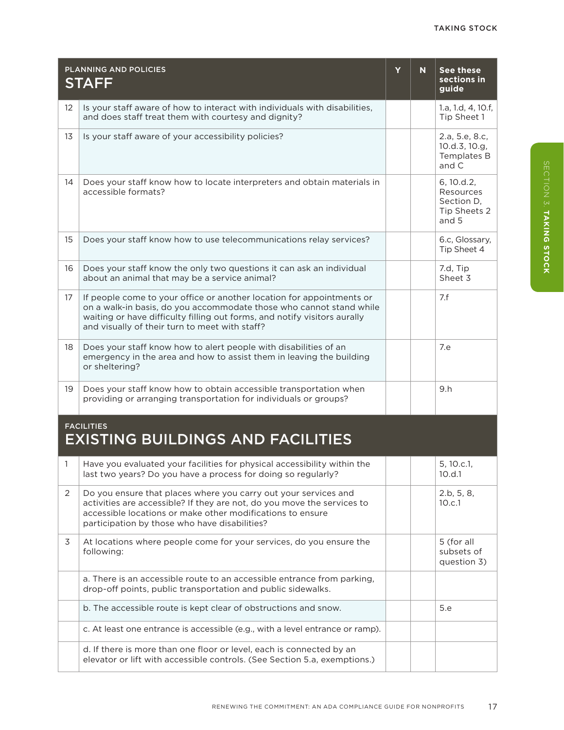|    | <b>PLANNING AND POLICIES</b><br><b>STAFF</b>                                                                                                                                                                                                                                | Y | N. | See these<br>sections in<br>quide                              |  |
|----|-----------------------------------------------------------------------------------------------------------------------------------------------------------------------------------------------------------------------------------------------------------------------------|---|----|----------------------------------------------------------------|--|
| 12 | Is your staff aware of how to interact with individuals with disabilities,<br>and does staff treat them with courtesy and dignity?                                                                                                                                          |   |    | 1.a, 1.d, 4, 10.f,<br>Tip Sheet 1                              |  |
| 13 | Is your staff aware of your accessibility policies?                                                                                                                                                                                                                         |   |    | 2.a, 5.e, 8.c,<br>10.d.3, 10.g.<br>Templates B<br>and C        |  |
| 14 | Does your staff know how to locate interpreters and obtain materials in<br>accessible formats?                                                                                                                                                                              |   |    | 6, 10.d.2,<br>Resources<br>Section D.<br>Tip Sheets 2<br>and 5 |  |
| 15 | Does your staff know how to use telecommunications relay services?                                                                                                                                                                                                          |   |    | 6.c, Glossary,<br>Tip Sheet 4                                  |  |
| 16 | Does your staff know the only two questions it can ask an individual<br>about an animal that may be a service animal?                                                                                                                                                       |   |    | 7.d. Tip<br>Sheet 3                                            |  |
| 17 | If people come to your office or another location for appointments or<br>on a walk-in basis, do you accommodate those who cannot stand while<br>waiting or have difficulty filling out forms, and notify visitors aurally<br>and visually of their turn to meet with staff? |   |    | 7.f                                                            |  |
| 18 | Does your staff know how to alert people with disabilities of an<br>emergency in the area and how to assist them in leaving the building<br>or sheltering?                                                                                                                  |   |    | 7.e                                                            |  |
| 19 | Does your staff know how to obtain accessible transportation when<br>providing or arranging transportation for individuals or groups?                                                                                                                                       |   |    | 9.h                                                            |  |
|    | <b>FACILITIES</b>                                                                                                                                                                                                                                                           |   |    |                                                                |  |

## EXISTING BUILDINGS AND FACILITIES

|   | Have you evaluated your facilities for physical accessibility within the<br>last two years? Do you have a process for doing so regularly?                                                                                                                 |  | 5, 10.c.1,<br>10.d.1                    |
|---|-----------------------------------------------------------------------------------------------------------------------------------------------------------------------------------------------------------------------------------------------------------|--|-----------------------------------------|
| 2 | Do you ensure that places where you carry out your services and<br>activities are accessible? If they are not, do you move the services to<br>accessible locations or make other modifications to ensure<br>participation by those who have disabilities? |  | 2.b, 5, 8,<br>10.c.1                    |
| 3 | At locations where people come for your services, do you ensure the<br>following:                                                                                                                                                                         |  | 5 (for all<br>subsets of<br>question 3) |
|   | a. There is an accessible route to an accessible entrance from parking,<br>drop-off points, public transportation and public sidewalks.                                                                                                                   |  |                                         |
|   | b. The accessible route is kept clear of obstructions and snow.                                                                                                                                                                                           |  | 5.e                                     |
|   | c. At least one entrance is accessible (e.g., with a level entrance or ramp).                                                                                                                                                                             |  |                                         |
|   | d. If there is more than one floor or level, each is connected by an<br>elevator or lift with accessible controls. (See Section 5.a, exemptions.)                                                                                                         |  |                                         |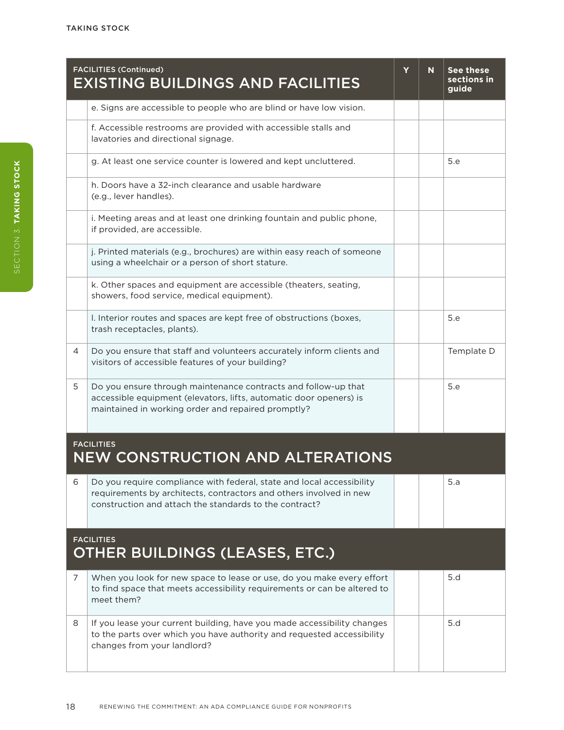|                                                            | <b>FACILITIES (Continued)</b><br><b>EXISTING BUILDINGS AND FACILITIES</b>                                                                                                                             | Y | N | See these<br>sections in<br>guide |  |
|------------------------------------------------------------|-------------------------------------------------------------------------------------------------------------------------------------------------------------------------------------------------------|---|---|-----------------------------------|--|
|                                                            | e. Signs are accessible to people who are blind or have low vision.                                                                                                                                   |   |   |                                   |  |
|                                                            | f. Accessible restrooms are provided with accessible stalls and<br>lavatories and directional signage.                                                                                                |   |   |                                   |  |
|                                                            | g. At least one service counter is lowered and kept uncluttered.                                                                                                                                      |   |   | 5.e                               |  |
|                                                            | h. Doors have a 32-inch clearance and usable hardware<br>(e.g., lever handles).                                                                                                                       |   |   |                                   |  |
|                                                            | i. Meeting areas and at least one drinking fountain and public phone,<br>if provided, are accessible.                                                                                                 |   |   |                                   |  |
|                                                            | j. Printed materials (e.g., brochures) are within easy reach of someone<br>using a wheelchair or a person of short stature.                                                                           |   |   |                                   |  |
|                                                            | k. Other spaces and equipment are accessible (theaters, seating,<br>showers, food service, medical equipment).                                                                                        |   |   |                                   |  |
|                                                            | I. Interior routes and spaces are kept free of obstructions (boxes,<br>trash receptacles, plants).                                                                                                    |   |   | 5.e                               |  |
| 4                                                          | Do you ensure that staff and volunteers accurately inform clients and<br>visitors of accessible features of your building?                                                                            |   |   | Template D                        |  |
| 5                                                          | Do you ensure through maintenance contracts and follow-up that<br>accessible equipment (elevators, lifts, automatic door openers) is<br>maintained in working order and repaired promptly?            |   |   | 5.e                               |  |
|                                                            | <b>FACILITIES</b><br><b>NEW CONSTRUCTION AND ALTERATIONS</b>                                                                                                                                          |   |   |                                   |  |
| 6                                                          | Do you require compliance with federal, state and local accessibility<br>requirements by architects, contractors and others involved in new<br>construction and attach the standards to the contract? |   |   | 5.a                               |  |
| <b>FACILITIES</b><br><b>OTHER BUILDINGS (LEASES, ETC.)</b> |                                                                                                                                                                                                       |   |   |                                   |  |
| $\overline{7}$                                             | When you look for new space to lease or use, do you make every effort<br>to find space that meets accessibility requirements or can be altered to<br>meet them?                                       |   |   | 5.d                               |  |
| 8                                                          | If you lease your current building, have you made accessibility changes<br>to the parts over which you have authority and requested accessibility<br>changes from your landlord?                      |   |   | 5.d                               |  |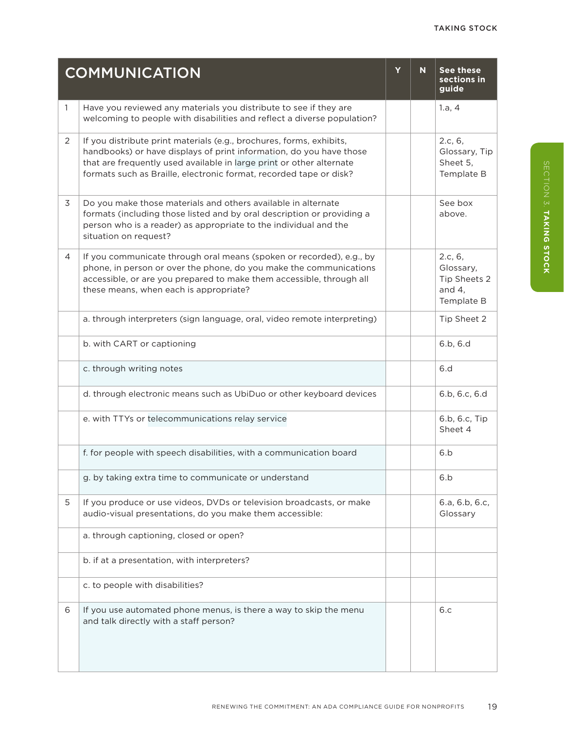|   | <b>COMMUNICATION</b>                                                                                                                                                                                                                                                                      |  | N | <b>See these</b><br>sections in<br>guide                       |
|---|-------------------------------------------------------------------------------------------------------------------------------------------------------------------------------------------------------------------------------------------------------------------------------------------|--|---|----------------------------------------------------------------|
| 1 | Have you reviewed any materials you distribute to see if they are<br>welcoming to people with disabilities and reflect a diverse population?                                                                                                                                              |  |   | 1.a, 4                                                         |
| 2 | If you distribute print materials (e.g., brochures, forms, exhibits,<br>handbooks) or have displays of print information, do you have those<br>that are frequently used available in large print or other alternate<br>formats such as Braille, electronic format, recorded tape or disk? |  |   | 2.c, 6,<br>Glossary, Tip<br>Sheet 5,<br>Template B             |
| 3 | Do you make those materials and others available in alternate<br>formats (including those listed and by oral description or providing a<br>person who is a reader) as appropriate to the individual and the<br>situation on request?                                                      |  |   | See box<br>above.                                              |
| 4 | If you communicate through oral means (spoken or recorded), e.g., by<br>phone, in person or over the phone, do you make the communications<br>accessible, or are you prepared to make them accessible, through all<br>these means, when each is appropriate?                              |  |   | 2.c, 6,<br>Glossary,<br>Tip Sheets 2<br>and $4,$<br>Template B |
|   | a. through interpreters (sign language, oral, video remote interpreting)                                                                                                                                                                                                                  |  |   | Tip Sheet 2                                                    |
|   | b. with CART or captioning                                                                                                                                                                                                                                                                |  |   | 6.b, 6.d                                                       |
|   | c. through writing notes                                                                                                                                                                                                                                                                  |  |   | 6.d                                                            |
|   | d. through electronic means such as UbiDuo or other keyboard devices                                                                                                                                                                                                                      |  |   | 6.b, 6.c, 6.d                                                  |
|   | e. with TTYs or telecommunications relay service                                                                                                                                                                                                                                          |  |   | 6.b, 6.c, Tip<br>Sheet 4                                       |
|   | f. for people with speech disabilities, with a communication board                                                                                                                                                                                                                        |  |   | 6.b                                                            |
|   | g. by taking extra time to communicate or understand                                                                                                                                                                                                                                      |  |   | 6.b                                                            |
| 5 | If you produce or use videos, DVDs or television broadcasts, or make<br>audio-visual presentations, do you make them accessible:                                                                                                                                                          |  |   | 6.a, 6.b, 6.c,<br>Glossary                                     |
|   | a. through captioning, closed or open?                                                                                                                                                                                                                                                    |  |   |                                                                |
|   | b. if at a presentation, with interpreters?                                                                                                                                                                                                                                               |  |   |                                                                |
|   | c. to people with disabilities?                                                                                                                                                                                                                                                           |  |   |                                                                |
| 6 | If you use automated phone menus, is there a way to skip the menu<br>and talk directly with a staff person?                                                                                                                                                                               |  |   | 6.c                                                            |